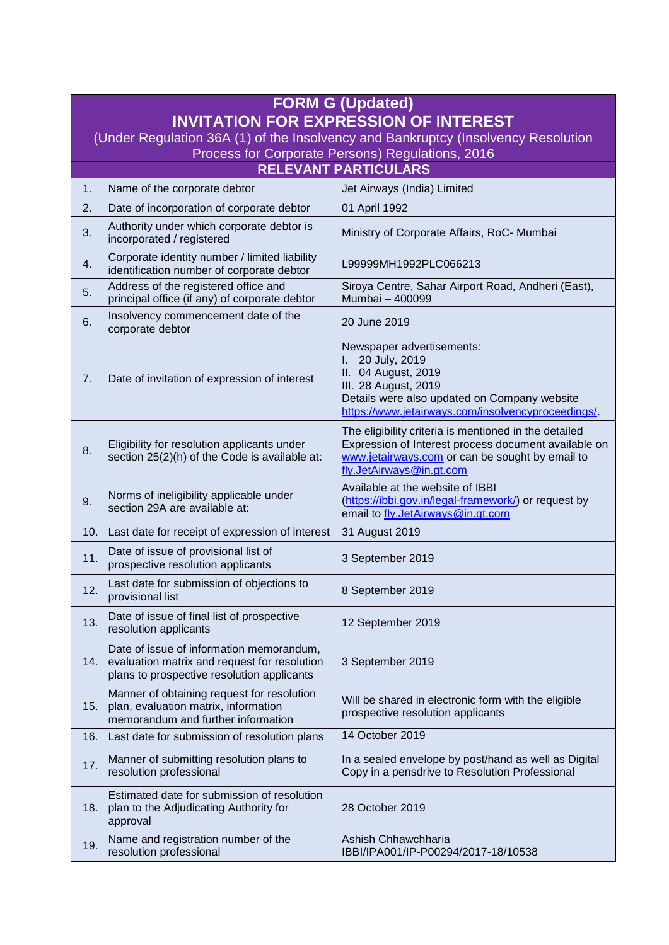| <b>FORM G (Updated)</b>                                                           |                                                                                                                                        |                                                                                                                                                                                                       |  |
|-----------------------------------------------------------------------------------|----------------------------------------------------------------------------------------------------------------------------------------|-------------------------------------------------------------------------------------------------------------------------------------------------------------------------------------------------------|--|
| <b>INVITATION FOR EXPRESSION OF INTEREST</b>                                      |                                                                                                                                        |                                                                                                                                                                                                       |  |
| (Under Regulation 36A (1) of the Insolvency and Bankruptcy (Insolvency Resolution |                                                                                                                                        |                                                                                                                                                                                                       |  |
| Process for Corporate Persons) Regulations, 2016<br><b>RELEVANT PARTICULARS</b>   |                                                                                                                                        |                                                                                                                                                                                                       |  |
| Jet Airways (India) Limited<br>1.<br>Name of the corporate debtor                 |                                                                                                                                        |                                                                                                                                                                                                       |  |
| 2.                                                                                | Date of incorporation of corporate debtor                                                                                              | 01 April 1992                                                                                                                                                                                         |  |
| 3.                                                                                | Authority under which corporate debtor is<br>incorporated / registered                                                                 | Ministry of Corporate Affairs, RoC- Mumbai                                                                                                                                                            |  |
| 4.                                                                                | Corporate identity number / limited liability<br>identification number of corporate debtor                                             | L99999MH1992PLC066213                                                                                                                                                                                 |  |
| 5.                                                                                | Address of the registered office and<br>principal office (if any) of corporate debtor                                                  | Siroya Centre, Sahar Airport Road, Andheri (East),<br>Mumbai - 400099                                                                                                                                 |  |
| 6.                                                                                | Insolvency commencement date of the<br>corporate debtor                                                                                | 20 June 2019                                                                                                                                                                                          |  |
| 7.                                                                                | Date of invitation of expression of interest                                                                                           | Newspaper advertisements:<br>20 July, 2019<br>L.<br>II. 04 August, 2019<br>III. 28 August, 2019<br>Details were also updated on Company website<br>https://www.jetairways.com/insolvencyproceedings/. |  |
| 8.                                                                                | Eligibility for resolution applicants under<br>section 25(2)(h) of the Code is available at:                                           | The eligibility criteria is mentioned in the detailed<br>Expression of Interest process document available on<br>www.jetairways.com or can be sought by email to<br>fly.JetAirways@in.gt.com          |  |
| 9.                                                                                | Norms of ineligibility applicable under<br>section 29A are available at:                                                               | Available at the website of IBBI<br>(https://ibbi.gov.in/legal-framework/) or request by<br>email to fly.JetAirways@in.gt.com                                                                         |  |
| 10.                                                                               | Last date for receipt of expression of interest                                                                                        | 31 August 2019                                                                                                                                                                                        |  |
| 11.                                                                               | Date of issue of provisional list of<br>prospective resolution applicants                                                              | 3 September 2019                                                                                                                                                                                      |  |
| 12.                                                                               | Last date for submission of objections to<br>provisional list                                                                          | 8 September 2019                                                                                                                                                                                      |  |
| 13.                                                                               | Date of issue of final list of prospective<br>resolution applicants                                                                    | 12 September 2019                                                                                                                                                                                     |  |
| 14.                                                                               | Date of issue of information memorandum,<br>evaluation matrix and request for resolution<br>plans to prospective resolution applicants | 3 September 2019                                                                                                                                                                                      |  |
| 15.                                                                               | Manner of obtaining request for resolution<br>plan, evaluation matrix, information<br>memorandum and further information               | Will be shared in electronic form with the eligible<br>prospective resolution applicants                                                                                                              |  |
| 16.                                                                               | Last date for submission of resolution plans                                                                                           | 14 October 2019                                                                                                                                                                                       |  |
| 17.                                                                               | Manner of submitting resolution plans to<br>resolution professional                                                                    | In a sealed envelope by post/hand as well as Digital<br>Copy in a pensdrive to Resolution Professional                                                                                                |  |
| 18.                                                                               | Estimated date for submission of resolution<br>plan to the Adjudicating Authority for<br>approval                                      | 28 October 2019                                                                                                                                                                                       |  |
| 19.                                                                               | Name and registration number of the<br>resolution professional                                                                         | Ashish Chhawchharia<br>IBBI/IPA001/IP-P00294/2017-18/10538                                                                                                                                            |  |